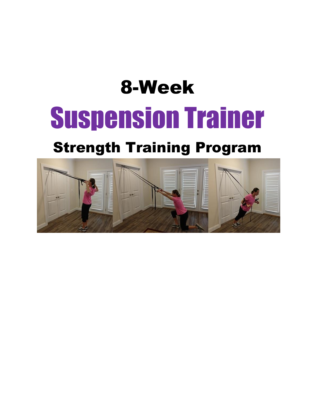# 8-Week Suspension Trainer

## Strength Training Program

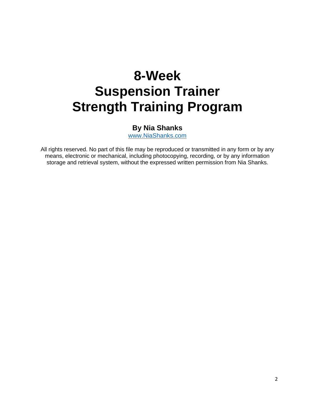## **8-Week Suspension Trainer Strength Training Program**

#### **By Nia Shanks**

[www.NiaShanks.com](http://www.niashanks.com/)

All rights reserved. No part of this file may be reproduced or transmitted in any form or by any means, electronic or mechanical, including photocopying, recording, or by any information storage and retrieval system, without the expressed written permission from Nia Shanks.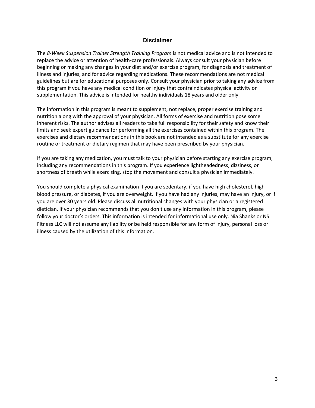#### **Disclaimer**

The *8-Week Suspension Trainer Strength Training Program* is not medical advice and is not intended to replace the advice or attention of health-care professionals. Always consult your physician before beginning or making any changes in your diet and/or exercise program, for diagnosis and treatment of illness and injuries, and for advice regarding medications. These recommendations are not medical guidelines but are for educational purposes only. Consult your physician prior to taking any advice from this program if you have any medical condition or injury that contraindicates physical activity or supplementation. This advice is intended for healthy individuals 18 years and older only.

The information in this program is meant to supplement, not replace, proper exercise training and nutrition along with the approval of your physician. All forms of exercise and nutrition pose some inherent risks. The author advises all readers to take full responsibility for their safety and know their limits and seek expert guidance for performing all the exercises contained within this program. The exercises and dietary recommendations in this book are not intended as a substitute for any exercise routine or treatment or dietary regimen that may have been prescribed by your physician.

If you are taking any medication, you must talk to your physician before starting any exercise program, including any recommendations in this program. If you experience lightheadedness, dizziness, or shortness of breath while exercising, stop the movement and consult a physician immediately.

You should complete a physical examination if you are sedentary, if you have high cholesterol, high blood pressure, or diabetes, if you are overweight, if you have had any injuries, may have an injury, or if you are over 30 years old. Please discuss all nutritional changes with your physician or a registered dietician. If your physician recommends that you don't use any information in this program, please follow your doctor's orders. This information is intended for informational use only. Nia Shanks or NS Fitness LLC will not assume any liability or be held responsible for any form of injury, personal loss or illness caused by the utilization of this information.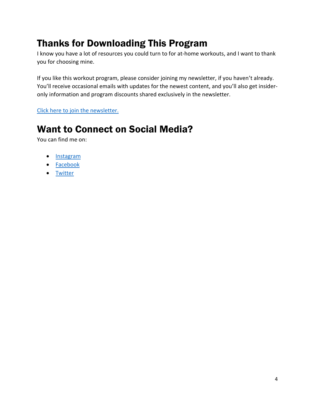## Thanks for Downloading This Program

I know you have a lot of resources you could turn to for at-home workouts, and I want to thank you for choosing mine.

If you like this workout program, please consider joining my newsletter, if you haven't already. You'll receive occasional emails with updates for the newest content, and you'll also get insideronly information and program discounts shared exclusively in the newsletter.

[Click here to join the newsletter.](https://www.niashanks.com/newsletter/)

### Want to Connect on Social Media?

You can find me on:

- [Instagram](https://www.instagram.com/niashanks/)
- [Facebook](https://www.facebook.com/NiaShanksLiftLikeaGirl/)
- [Twitter](https://twitter.com/niashanks)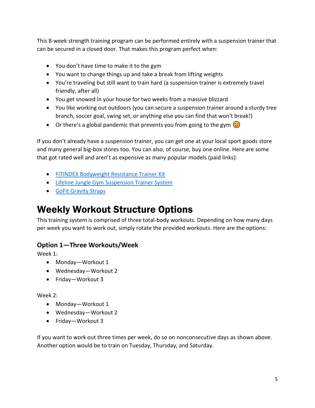This 8-week strength training program can be performed entirely with a suspension trainer that can be secured in a closed door. That makes this program perfect when:

- You don't have time to make it to the gym
- You want to change things up and take a break from lifting weights
- You're traveling but still want to train hard (a suspension trainer is extremely travel friendly, after all)
- You get snowed in your house for two weeks from a massive blizzard
- You like working out outdoors (you can secure a suspension trainer around a sturdy tree branch, soccer goal, swing set, or anything else you can find that won't break!)
- Or there's a global pandemic that prevents you from going to the gym  $\circled{c}$

If you don't already have a suspension trainer, you can get one at your local sport goods store and many general big-box stores too. You can also, of course, buy one online. Here are some that got rated well and aren't as expensive as many popular models (paid links):

- [FITINDEX Bodyweight Resistance Trainer Kit](https://amzn.to/2IRul0w)
- Lifeline Jungle Gym [Suspension Trainer System](https://amzn.to/3aVkLWk)
- [GoFit Gravity Straps](https://amzn.to/2FLfK3x)

### Weekly Workout Structure Options

This training system is comprised of three total-body workouts. Depending on how many days per week you want to work out, simply rotate the provided workouts. Here are the options:

#### **Option 1—Three Workouts/Week**

Week 1:

- Monday—Workout 1
- Wednesday—Workout 2
- Friday—Workout 3

#### Week 2:

- Monday—Workout 1
- Wednesday—Workout 2
- Friday—Workout 3

If you want to work out three times per week, do so on nonconsecutive days as shown above. Another option would be to train on Tuesday, Thursday, and Saturday.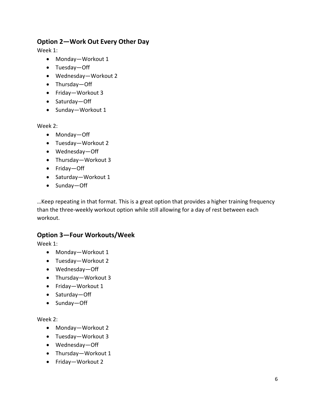#### **Option 2—Work Out Every Other Day**

Week 1:

- Monday—Workout 1
- Tuesday—Off
- Wednesday—Workout 2
- Thursday—Off
- Friday—Workout 3
- Saturday—Off
- Sunday—Workout 1

Week 2:

- Monday—Off
- Tuesday—Workout 2
- Wednesday—Off
- Thursday—Workout 3
- Friday—Off
- Saturday—Workout 1
- Sunday—Off

…Keep repeating in that format. This is a great option that provides a higher training frequency than the three-weekly workout option while still allowing for a day of rest between each workout.

#### **Option 3—Four Workouts/Week**

Week 1:

- Monday—Workout 1
- Tuesday—Workout 2
- Wednesday—Off
- Thursday—Workout 3
- Friday—Workout 1
- Saturday—Off
- Sunday—Off

Week 2:

- Monday—Workout 2
- Tuesday—Workout 3
- Wednesday—Off
- Thursday—Workout 1
- Friday—Workout 2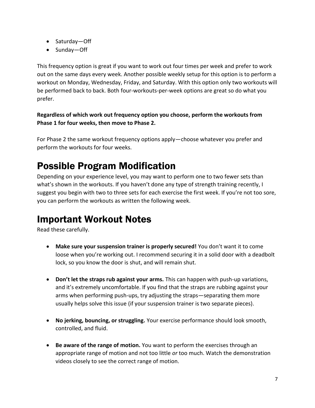- Saturday—Off
- Sunday—Off

This frequency option is great if you want to work out four times per week and prefer to work out on the same days every week. Another possible weekly setup for this option is to perform a workout on Monday, Wednesday, Friday, and Saturday. With this option only two workouts will be performed back to back. Both four-workouts-per-week options are great so do what you prefer.

**Regardless of which work out frequency option you choose, perform the workouts from Phase 1 for four weeks, then move to Phase 2.** 

For Phase 2 the same workout frequency options apply—choose whatever you prefer and perform the workouts for four weeks.

### Possible Program Modification

Depending on your experience level, you may want to perform one to two fewer sets than what's shown in the workouts. If you haven't done any type of strength training recently, I suggest you begin with two to three sets for each exercise the first week. If you're not too sore, you can perform the workouts as written the following week.

### Important Workout Notes

Read these carefully.

- **Make sure your suspension trainer is properly secured!** You don't want it to come loose when you're working out. I recommend securing it in a solid door with a deadbolt lock, so you know the door is shut, and will remain shut.
- **Don't let the straps rub against your arms.** This can happen with push-up variations, and it's extremely uncomfortable. If you find that the straps are rubbing against your arms when performing push-ups, try adjusting the straps—separating them more usually helps solve this issue (if your suspension trainer is two separate pieces).
- **No jerking, bouncing, or struggling.** Your exercise performance should look smooth, controlled, and fluid.
- **Be aware of the range of motion.** You want to perform the exercises through an appropriate range of motion and not too little *or* too much. Watch the demonstration videos closely to see the correct range of motion.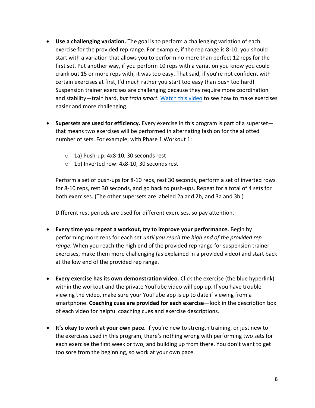- **Use a challenging variation.** The goal is to perform a challenging variation of each exercise for the provided rep range. For example, if the rep range is 8-10, you should start with a variation that allows you to perform no more than perfect 12 reps for the first set. Put another way, if you perform 10 reps with a variation you know you could crank out 15 or more reps with, it was too easy. That said, if you're not confident with certain exercises at first, I'd much rather you start too easy than push too hard! Suspension trainer exercises are challenging because they require more coordination and stability—train hard, *but train smart.* [Watch this video](https://youtu.be/uL8E2PHIdz4) to see how to make exercises easier and more challenging.
- **Supersets are used for efficiency.** Every exercise in this program is part of a superset that means two exercises will be performed in alternating fashion for the allotted number of sets. For example, with Phase 1 Workout 1:
	- o 1a) Push-up: 4x8-10, 30 seconds rest
	- o 1b) Inverted row: 4x8-10, 30 seconds rest

Perform a set of push-ups for 8-10 reps, rest 30 seconds, perform a set of inverted rows for 8-10 reps, rest 30 seconds, and go back to push-ups. Repeat for a total of 4 sets for both exercises. (The other supersets are labeled 2a and 2b, and 3a and 3b.)

Different rest periods are used for different exercises, so pay attention.

- **Every time you repeat a workout, try to improve your performance.** Begin by performing more reps for each set *until you reach the high end of the provided rep range*. When you reach the high end of the provided rep range for suspension trainer exercises, make them more challenging (as explained in a provided video) and start back at the low end of the provided rep range.
- **Every exercise has its own demonstration video.** Click the exercise (the blue hyperlink) within the workout and the private YouTube video will pop up. If you have trouble viewing the video, make sure your YouTube app is up to date if viewing from a smartphone. **Coaching cues are provided for each exercise**—look in the description box of each video for helpful coaching cues and exercise descriptions.
- **It's okay to work at your own pace.** If you're new to strength training, or just new to the exercises used in this program, there's nothing wrong with performing two sets for each exercise the first week or two, and building up from there. You don't want to get too sore from the beginning, so work at your own pace.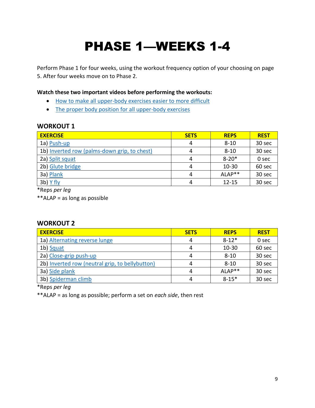## PHASE 1—WEEKS 1-4

Perform Phase 1 for four weeks, using the workout frequency option of your choosing on page 5. After four weeks move on to Phase 2.

**Watch these two important videos before performing the workouts:**

- [How to make all upper-body exercises easier to more difficult](https://youtu.be/uL8E2PHIdz4)
- [The proper body position for all upper-body exercises](https://youtu.be/aMk-ROekkMI)

#### **WORKOUT 1**

| <b>EXERCISE</b>                              | <b>SETS</b> | <b>REPS</b> | <b>REST</b> |
|----------------------------------------------|-------------|-------------|-------------|
| 1a) Push-up                                  | 4           | $8 - 10$    | 30 sec      |
| 1b) Inverted row (palms-down grip, to chest) | 4           | $8 - 10$    | 30 sec      |
| 2a) Split squat                              | 4           | $8 - 20*$   | 0 sec       |
| 2b) Glute bridge                             | 4           | $10 - 30$   | 60 sec      |
| 3a) Plank                                    | 4           | ALAP**      | 30 sec      |
| 3b) Y fly                                    | 4           | $12 - 15$   | 30 sec      |

\*Reps *per leg*

\*\*ALAP = as long as possible

#### **WORKOUT 2**

| <b>EXERCISE</b>                                 | <b>SETS</b> | <b>REPS</b> | <b>REST</b> |
|-------------------------------------------------|-------------|-------------|-------------|
| 1a) Alternating reverse lunge                   | 4           | $8 - 12*$   | 0 sec       |
| 1b) Squat                                       |             | 10-30       | 60 sec      |
| 2a) Close-grip push-up                          | 4           | $8 - 10$    | 30 sec      |
| 2b) Inverted row (neutral grip, to bellybutton) |             | $8 - 10$    | 30 sec      |
| 3a) Side plank                                  | 4           | $ALAP**$    | 30 sec      |
| 3b) Spiderman climb                             | 4           | $8 - 15*$   | 30 sec      |

\*Reps *per leg*

\*\*ALAP = as long as possible; perform a set on *each side*, then rest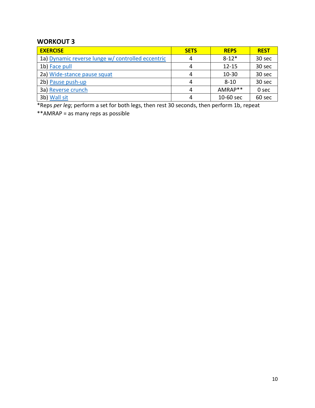#### **WORKOUT 3**

| <b>EXERCISE</b>                                   | <b>SETS</b> | <b>REPS</b> | <b>REST</b> |
|---------------------------------------------------|-------------|-------------|-------------|
| 1a) Dynamic reverse lunge w/ controlled eccentric | 4           | $8 - 12*$   | 30 sec      |
| 1b) Face pull                                     | 4           | $12 - 15$   | 30 sec      |
| 2a) Wide-stance pause squat                       | 4           | $10 - 30$   | 30 sec      |
| 2b) Pause push-up                                 | 4           | $8 - 10$    | 30 sec      |
| 3a) Reverse crunch                                | 4           | AMRAP**     | 0 sec       |
| 3b) Wall sit                                      | 4           | 10-60 sec   | 60 sec      |

\*Reps *per leg*; perform a set for both legs, then rest 30 seconds, then perform 1b, repeat

\*\*AMRAP = as many reps as possible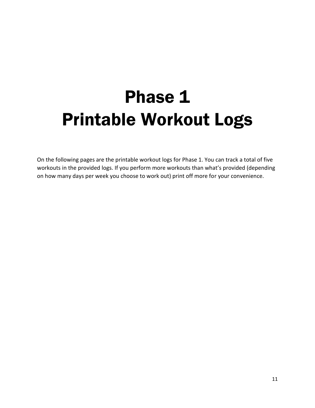## Phase 1 Printable Workout Logs

On the following pages are the printable workout logs for Phase 1. You can track a total of five workouts in the provided logs. If you perform more workouts than what's provided (depending on how many days per week you choose to work out) print off more for your convenience.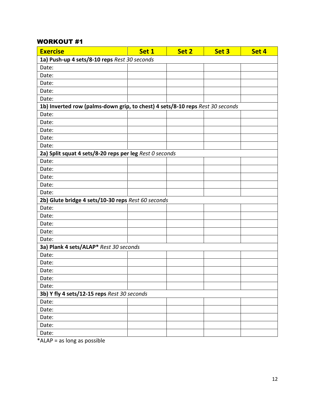| <b>Exercise</b>                                                               | Set 1 | Set 2 | Set 3 | Set 4 |
|-------------------------------------------------------------------------------|-------|-------|-------|-------|
| 1a) Push-up 4 sets/8-10 reps Rest 30 seconds                                  |       |       |       |       |
| Date:                                                                         |       |       |       |       |
| Date:                                                                         |       |       |       |       |
| Date:                                                                         |       |       |       |       |
| Date:                                                                         |       |       |       |       |
| Date:                                                                         |       |       |       |       |
| 1b) Inverted row (palms-down grip, to chest) 4 sets/8-10 reps Rest 30 seconds |       |       |       |       |
| Date:                                                                         |       |       |       |       |
| Date:                                                                         |       |       |       |       |
| Date:                                                                         |       |       |       |       |
| Date:                                                                         |       |       |       |       |
| Date:                                                                         |       |       |       |       |
| 2a) Split squat 4 sets/8-20 reps per leg Rest 0 seconds                       |       |       |       |       |
| Date:                                                                         |       |       |       |       |
| Date:                                                                         |       |       |       |       |
| Date:                                                                         |       |       |       |       |
| Date:                                                                         |       |       |       |       |
| Date:                                                                         |       |       |       |       |
| 2b) Glute bridge 4 sets/10-30 reps Rest 60 seconds                            |       |       |       |       |
| Date:                                                                         |       |       |       |       |
| Date:                                                                         |       |       |       |       |
| Date:                                                                         |       |       |       |       |
| Date:                                                                         |       |       |       |       |
| Date:                                                                         |       |       |       |       |
| 3a) Plank 4 sets/ALAP* Rest 30 seconds                                        |       |       |       |       |
| Date:                                                                         |       |       |       |       |
| Date:                                                                         |       |       |       |       |
| Date:                                                                         |       |       |       |       |
| Date:                                                                         |       |       |       |       |
| Date:                                                                         |       |       |       |       |
| 3b) Y fly 4 sets/12-15 reps Rest 30 seconds                                   |       |       |       |       |
| Date:                                                                         |       |       |       |       |
| Date:                                                                         |       |       |       |       |
| Date:                                                                         |       |       |       |       |
| Date:                                                                         |       |       |       |       |
| Date:                                                                         |       |       |       |       |

\*ALAP = as long as possible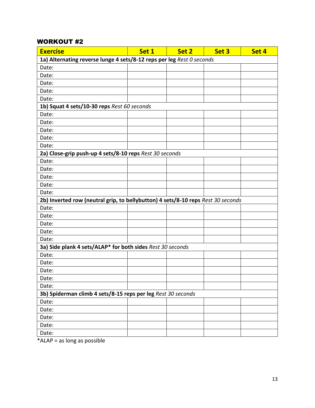| <b>Exercise</b>                                                                  | Set 1 | Set 2 | Set 3 | Set 4 |
|----------------------------------------------------------------------------------|-------|-------|-------|-------|
| 1a) Alternating reverse lunge 4 sets/8-12 reps per leg Rest 0 seconds            |       |       |       |       |
| Date:                                                                            |       |       |       |       |
| Date:                                                                            |       |       |       |       |
| Date:                                                                            |       |       |       |       |
| Date:                                                                            |       |       |       |       |
| Date:                                                                            |       |       |       |       |
| 1b) Squat 4 sets/10-30 reps Rest 60 seconds                                      |       |       |       |       |
| Date:                                                                            |       |       |       |       |
| Date:                                                                            |       |       |       |       |
| Date:                                                                            |       |       |       |       |
| Date:                                                                            |       |       |       |       |
| Date:                                                                            |       |       |       |       |
| 2a) Close-grip push-up 4 sets/8-10 reps Rest 30 seconds                          |       |       |       |       |
| Date:                                                                            |       |       |       |       |
| Date:                                                                            |       |       |       |       |
| Date:                                                                            |       |       |       |       |
| Date:                                                                            |       |       |       |       |
| Date:                                                                            |       |       |       |       |
| 2b) Inverted row (neutral grip, to bellybutton) 4 sets/8-10 reps Rest 30 seconds |       |       |       |       |
| Date:                                                                            |       |       |       |       |
| Date:                                                                            |       |       |       |       |
| Date:                                                                            |       |       |       |       |
| Date:                                                                            |       |       |       |       |
| Date:                                                                            |       |       |       |       |
| 3a) Side plank 4 sets/ALAP* for both sides Rest 30 seconds                       |       |       |       |       |
| Date:                                                                            |       |       |       |       |
| Date:                                                                            |       |       |       |       |
| Date:                                                                            |       |       |       |       |
| Date:                                                                            |       |       |       |       |
| Date:                                                                            |       |       |       |       |
| 3b) Spiderman climb 4 sets/8-15 reps per leg Rest 30 seconds                     |       |       |       |       |
| Date:                                                                            |       |       |       |       |
| Date:                                                                            |       |       |       |       |
| Date:                                                                            |       |       |       |       |
| Date:                                                                            |       |       |       |       |
| Date:                                                                            |       |       |       |       |

\*ALAP = as long as possible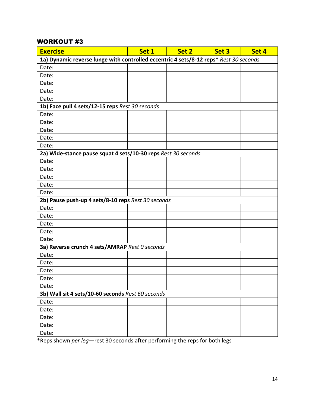| <b>Exercise</b>                                                                       | Set 1 | Set 2 | Set 3 | Set 4 |
|---------------------------------------------------------------------------------------|-------|-------|-------|-------|
| 1a) Dynamic reverse lunge with controlled eccentric 4 sets/8-12 reps* Rest 30 seconds |       |       |       |       |
| Date:                                                                                 |       |       |       |       |
| Date:                                                                                 |       |       |       |       |
| Date:                                                                                 |       |       |       |       |
| Date:                                                                                 |       |       |       |       |
| Date:                                                                                 |       |       |       |       |
| 1b) Face pull 4 sets/12-15 reps Rest 30 seconds                                       |       |       |       |       |
| Date:                                                                                 |       |       |       |       |
| Date:                                                                                 |       |       |       |       |
| Date:                                                                                 |       |       |       |       |
| Date:                                                                                 |       |       |       |       |
| Date:                                                                                 |       |       |       |       |
| 2a) Wide-stance pause squat 4 sets/10-30 reps Rest 30 seconds                         |       |       |       |       |
| Date:                                                                                 |       |       |       |       |
| Date:                                                                                 |       |       |       |       |
| Date:                                                                                 |       |       |       |       |
| Date:                                                                                 |       |       |       |       |
| Date:                                                                                 |       |       |       |       |
| 2b) Pause push-up 4 sets/8-10 reps Rest 30 seconds                                    |       |       |       |       |
| Date:                                                                                 |       |       |       |       |
| Date:                                                                                 |       |       |       |       |
| Date:                                                                                 |       |       |       |       |
| Date:                                                                                 |       |       |       |       |
| Date:                                                                                 |       |       |       |       |
| 3a) Reverse crunch 4 sets/AMRAP Rest 0 seconds                                        |       |       |       |       |
| Date:                                                                                 |       |       |       |       |
| Date:                                                                                 |       |       |       |       |
| Date:                                                                                 |       |       |       |       |
| Date:                                                                                 |       |       |       |       |
| Date:                                                                                 |       |       |       |       |
| 3b) Wall sit 4 sets/10-60 seconds Rest 60 seconds                                     |       |       |       |       |
| Date:                                                                                 |       |       |       |       |
| Date:                                                                                 |       |       |       |       |
| Date:                                                                                 |       |       |       |       |
| Date:                                                                                 |       |       |       |       |
| Date:                                                                                 |       |       |       |       |

\*Reps shown *per leg*—rest 30 seconds after performing the reps for both legs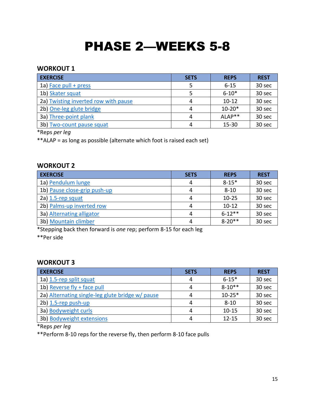## PHASE 2—WEEKS 5-8

#### **WORKOUT 1**

| <b>EXERCISE</b>                      | <b>SETS</b> | <b>REPS</b> | <b>REST</b> |
|--------------------------------------|-------------|-------------|-------------|
| 1a) Face pull + press                |             | $6 - 15$    | 30 sec      |
| 1b) Skater squat                     |             | $6 - 10*$   | 30 sec      |
| 2a) Twisting inverted row with pause | 4           | $10-12$     | 30 sec      |
| 2b) One-leg glute bridge             | 4           | $10-20*$    | 30 sec      |
| 3a) Three-point plank                | 4           | $ALAP**$    | 30 sec      |
| 3b) Two-count pause squat            | 4           | $15 - 30$   | 30 sec      |

\*Reps *per leg*

\*\*ALAP = as long as possible (alternate which foot is raised each set)

#### **WORKOUT 2**

| <b>EXERCISE</b>              | <b>SETS</b> | <b>REPS</b> | <b>REST</b> |
|------------------------------|-------------|-------------|-------------|
| 1a) Pendulum lunge           | 4           | $8 - 15*$   | 30 sec      |
| 1b) Pause close-grip push-up | 4           | $8 - 10$    | 30 sec      |
| 2a) 1.5-rep squat            | 4           | $10 - 25$   | 30 sec      |
| 2b) Palms-up inverted row    | 4           | $10 - 12$   | 30 sec      |
| 3a) Alternating alligator    | 4           | $6 - 12**$  | 30 sec      |
| 3b) Mountain climber         | 4           | $8 - 20$ ** | 30 sec      |

\*Stepping back then forward is *one* rep; perform 8-15 for each leg

\*\*Per side

#### **WORKOUT 3**

| <b>EXERCISE</b>                                  | <b>SETS</b> | <b>REPS</b> | <b>REST</b> |
|--------------------------------------------------|-------------|-------------|-------------|
| 1a) 1.5-rep split squat                          | 4           | $6 - 15*$   | 30 sec      |
| 1b) Reverse fly + face pull                      | 4           | $8 - 10**$  | 30 sec      |
| 2a) Alternating single-leg glute bridge w/ pause | 4           | $10 - 25*$  | 30 sec      |
| 2b) 1.5-rep push-up                              | 4           | $8 - 10$    | 30 sec      |
| 3a) Bodyweight curls                             | 4           | $10 - 15$   | 30 sec      |
| 3b) Bodyweight extensions                        | 4           | $12 - 15$   | 30 sec      |

\*Reps *per leg*

\*\*Perform 8-10 reps for the reverse fly, then perform 8-10 face pulls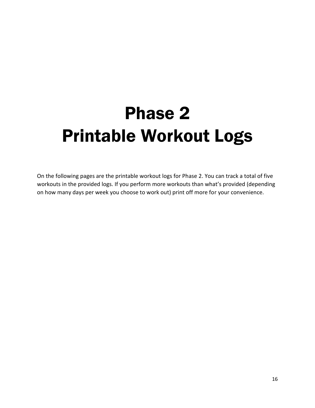## Phase 2 Printable Workout Logs

On the following pages are the printable workout logs for Phase 2. You can track a total of five workouts in the provided logs. If you perform more workouts than what's provided (depending on how many days per week you choose to work out) print off more for your convenience.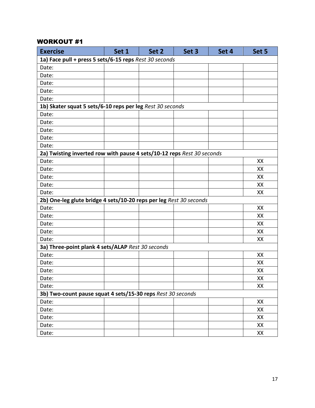| <b>Exercise</b>                                                        | Set 1 | Set 2 | Set 3 | Set 4 | Set 5 |
|------------------------------------------------------------------------|-------|-------|-------|-------|-------|
| 1a) Face pull + press 5 sets/6-15 reps Rest 30 seconds                 |       |       |       |       |       |
| Date:                                                                  |       |       |       |       |       |
| Date:                                                                  |       |       |       |       |       |
| Date:                                                                  |       |       |       |       |       |
| Date:                                                                  |       |       |       |       |       |
| Date:                                                                  |       |       |       |       |       |
| 1b) Skater squat 5 sets/6-10 reps per leg Rest 30 seconds              |       |       |       |       |       |
| Date:                                                                  |       |       |       |       |       |
| Date:                                                                  |       |       |       |       |       |
| Date:                                                                  |       |       |       |       |       |
| Date:                                                                  |       |       |       |       |       |
| Date:                                                                  |       |       |       |       |       |
| 2a) Twisting inverted row with pause 4 sets/10-12 reps Rest 30 seconds |       |       |       |       |       |
| Date:                                                                  |       |       |       |       | XX    |
| Date:                                                                  |       |       |       |       | XX    |
| Date:                                                                  |       |       |       |       | XX    |
| Date:                                                                  |       |       |       |       | XX    |
| Date:                                                                  |       |       |       |       | XX    |
| 2b) One-leg glute bridge 4 sets/10-20 reps per leg Rest 30 seconds     |       |       |       |       |       |
| Date:                                                                  |       |       |       |       | XX    |
| Date:                                                                  |       |       |       |       | XX    |
| Date:                                                                  |       |       |       |       | XX    |
| Date:                                                                  |       |       |       |       | XX    |
| Date:                                                                  |       |       |       |       | XX    |
| 3a) Three-point plank 4 sets/ALAP Rest 30 seconds                      |       |       |       |       |       |
| Date:                                                                  |       |       |       |       | XX    |
| Date:                                                                  |       |       |       |       | XX    |
| Date:                                                                  |       |       |       |       | XX    |
| Date:                                                                  |       |       |       |       | XX    |
| Date:                                                                  |       |       |       |       | XX    |
| 3b) Two-count pause squat 4 sets/15-30 reps Rest 30 seconds            |       |       |       |       |       |
| Date:                                                                  |       |       |       |       | XX    |
| Date:                                                                  |       |       |       |       | XX    |
| Date:                                                                  |       |       |       |       | XX    |
| Date:                                                                  |       |       |       |       | XX    |
| Date:                                                                  |       |       |       |       | XX    |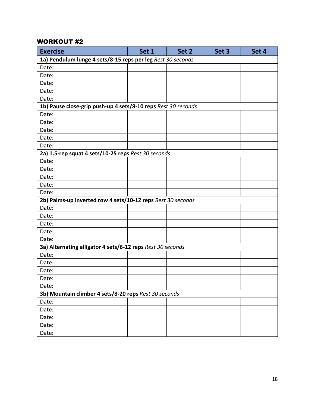| <b>Exercise</b>                                               | Set 1                                                 | Set 2 | Set 3 | Set 4 |  |
|---------------------------------------------------------------|-------------------------------------------------------|-------|-------|-------|--|
| 1a) Pendulum lunge 4 sets/8-15 reps per leg Rest 30 seconds   |                                                       |       |       |       |  |
| Date:                                                         |                                                       |       |       |       |  |
| Date:                                                         |                                                       |       |       |       |  |
| Date:                                                         |                                                       |       |       |       |  |
| Date:                                                         |                                                       |       |       |       |  |
| Date:                                                         |                                                       |       |       |       |  |
| 1b) Pause close-grip push-up 4 sets/8-10 reps Rest 30 seconds |                                                       |       |       |       |  |
| Date:                                                         |                                                       |       |       |       |  |
| Date:                                                         |                                                       |       |       |       |  |
| Date:                                                         |                                                       |       |       |       |  |
| Date:                                                         |                                                       |       |       |       |  |
| Date:                                                         |                                                       |       |       |       |  |
| 2a) 1.5-rep squat 4 sets/10-25 reps Rest 30 seconds           |                                                       |       |       |       |  |
| Date:                                                         |                                                       |       |       |       |  |
| Date:                                                         |                                                       |       |       |       |  |
| Date:                                                         |                                                       |       |       |       |  |
| Date:                                                         |                                                       |       |       |       |  |
| Date:                                                         |                                                       |       |       |       |  |
| 2b) Palms-up inverted row 4 sets/10-12 reps Rest 30 seconds   |                                                       |       |       |       |  |
| Date:                                                         |                                                       |       |       |       |  |
| Date:                                                         |                                                       |       |       |       |  |
| Date:                                                         |                                                       |       |       |       |  |
| Date:                                                         |                                                       |       |       |       |  |
| Date:                                                         |                                                       |       |       |       |  |
| 3a) Alternating alligator 4 sets/6-12 reps Rest 30 seconds    |                                                       |       |       |       |  |
| Date:                                                         |                                                       |       |       |       |  |
| Date:                                                         |                                                       |       |       |       |  |
| Date:                                                         |                                                       |       |       |       |  |
| Date:                                                         |                                                       |       |       |       |  |
| Date:                                                         |                                                       |       |       |       |  |
|                                                               | 3b) Mountain climber 4 sets/8-20 reps Rest 30 seconds |       |       |       |  |
| Date:                                                         |                                                       |       |       |       |  |
| Date:                                                         |                                                       |       |       |       |  |
| Date:                                                         |                                                       |       |       |       |  |
| Date:                                                         |                                                       |       |       |       |  |
| Date:                                                         |                                                       |       |       |       |  |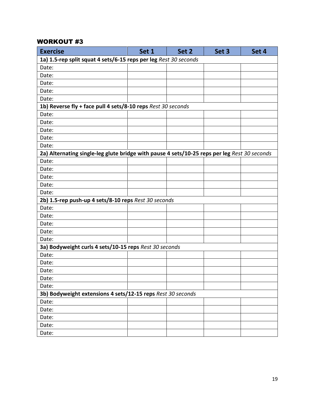| <b>Exercise</b>                                                                              | Set 1 | Set 2 | Set 3 | Set 4 |
|----------------------------------------------------------------------------------------------|-------|-------|-------|-------|
| 1a) 1.5-rep split squat 4 sets/6-15 reps per leg Rest 30 seconds                             |       |       |       |       |
| Date:                                                                                        |       |       |       |       |
| Date:                                                                                        |       |       |       |       |
| Date:                                                                                        |       |       |       |       |
| Date:                                                                                        |       |       |       |       |
| Date:                                                                                        |       |       |       |       |
| 1b) Reverse fly + face pull 4 sets/8-10 reps Rest 30 seconds                                 |       |       |       |       |
| Date:                                                                                        |       |       |       |       |
| Date:                                                                                        |       |       |       |       |
| Date:                                                                                        |       |       |       |       |
| Date:                                                                                        |       |       |       |       |
| Date:                                                                                        |       |       |       |       |
| 2a) Alternating single-leg glute bridge with pause 4 sets/10-25 reps per leg Rest 30 seconds |       |       |       |       |
| Date:                                                                                        |       |       |       |       |
| Date:                                                                                        |       |       |       |       |
| Date:                                                                                        |       |       |       |       |
| Date:                                                                                        |       |       |       |       |
| Date:                                                                                        |       |       |       |       |
| 2b) 1.5-rep push-up 4 sets/8-10 reps Rest 30 seconds                                         |       |       |       |       |
| Date:                                                                                        |       |       |       |       |
| Date:                                                                                        |       |       |       |       |
| Date:                                                                                        |       |       |       |       |
| Date:                                                                                        |       |       |       |       |
| Date:                                                                                        |       |       |       |       |
| 3a) Bodyweight curls 4 sets/10-15 reps Rest 30 seconds                                       |       |       |       |       |
| Date:                                                                                        |       |       |       |       |
| Date:                                                                                        |       |       |       |       |
| Date:                                                                                        |       |       |       |       |
| Date:                                                                                        |       |       |       |       |
| Date:                                                                                        |       |       |       |       |
| 3b) Bodyweight extensions 4 sets/12-15 reps Rest 30 seconds                                  |       |       |       |       |
| Date:                                                                                        |       |       |       |       |
| Date:                                                                                        |       |       |       |       |
| Date:                                                                                        |       |       |       |       |
| Date:                                                                                        |       |       |       |       |
| Date:                                                                                        |       |       |       |       |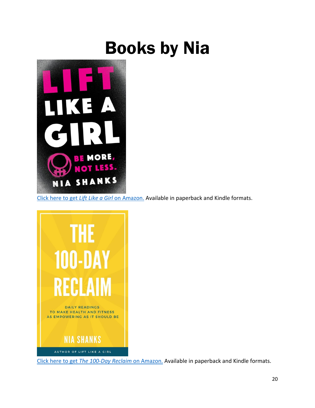## Books by Nia



[Click here to get](https://amzn.to/2jTkCKv) *Lift Like a Girl* on Amazon. Available in paperback and Kindle formats.



Click here to get *[The 100-Day Reclaim](https://amzn.to/2q26TY8)* on Amazon. Available in paperback and Kindle formats.